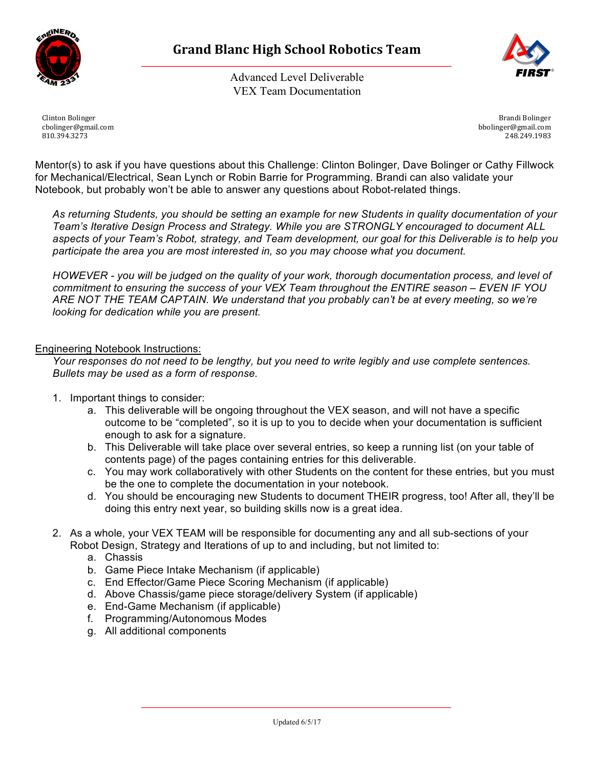

Advanced Level Deliverable VEX Team Documentation



Clinton Bolinger cbolinger@gmail.com 810.394.3273

Brandi Bolinger bbolinger@gmail.com 248.249.1983

Mentor(s) to ask if you have questions about this Challenge: Clinton Bolinger, Dave Bolinger or Cathy Fillwock for Mechanical/Electrical, Sean Lynch or Robin Barrie for Programming. Brandi can also validate your Notebook, but probably won't be able to answer any questions about Robot-related things.

*As returning Students, you should be setting an example for new Students in quality documentation of your Team's Iterative Design Process and Strategy. While you are STRONGLY encouraged to document ALL aspects of your Team's Robot, strategy, and Team development, our goal for this Deliverable is to help you participate the area you are most interested in, so you may choose what you document.*

*HOWEVER - you will be judged on the quality of your work, thorough documentation process, and level of commitment to ensuring the success of your VEX Team throughout the ENTIRE season – EVEN IF YOU ARE NOT THE TEAM CAPTAIN. We understand that you probably can't be at every meeting, so we're looking for dedication while you are present.* 

## Engineering Notebook Instructions:

*Your responses do not need to be lengthy, but you need to write legibly and use complete sentences. Bullets may be used as a form of response.*

- 1. Important things to consider:
	- a. This deliverable will be ongoing throughout the VEX season, and will not have a specific outcome to be "completed", so it is up to you to decide when your documentation is sufficient enough to ask for a signature.
	- b. This Deliverable will take place over several entries, so keep a running list (on your table of contents page) of the pages containing entries for this deliverable.
	- c. You may work collaboratively with other Students on the content for these entries, but you must be the one to complete the documentation in your notebook.
	- d. You should be encouraging new Students to document THEIR progress, too! After all, they'll be doing this entry next year, so building skills now is a great idea.
- 2. As a whole, your VEX TEAM will be responsible for documenting any and all sub-sections of your Robot Design, Strategy and Iterations of up to and including, but not limited to:
	- a. Chassis
	- b. Game Piece Intake Mechanism (if applicable)
	- c. End Effector/Game Piece Scoring Mechanism (if applicable)
	- d. Above Chassis/game piece storage/delivery System (if applicable)
	- e. End-Game Mechanism (if applicable)
	- f. Programming/Autonomous Modes
	- g. All additional components